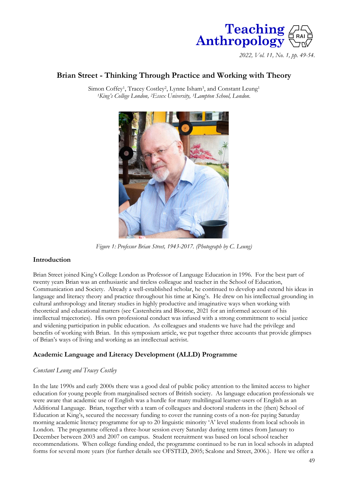

*2022, Vol. 11, No. 1, pp. 49-54.*

# **Brian Street - Thinking Through Practice and Working with Theory**

Simon Coffey<sup>1</sup>, Tracey Costley<sup>2</sup>, Lynne Isham<sup>3</sup>, and Constant Leung<sup>1</sup> *<sup>1</sup>King's College London, <sup>2</sup>Essex University, <sup>3</sup>Lampton School, London.*



*Figure 1: Professor Brian Street, 1943-2017. (Photograph by C. Leung)*

## **Introduction**

Brian Street joined King's College London as Professor of Language Education in 1996. For the best part of twenty years Brian was an enthusiastic and tireless colleague and teacher in the School of Education, Communication and Society. Already a well-established scholar, he continued to develop and extend his ideas in language and literacy theory and practice throughout his time at King's. He drew on his intellectual grounding in cultural anthropology and literary studies in highly productive and imaginative ways when working with theoretical and educational matters (see Castenheira and Bloome, 2021 for an informed account of his intellectual trajectories). His own professional conduct was infused with a strong commitment to social justice and widening participation in public education. As colleagues and students we have had the privilege and benefits of working with Brian. In this symposium article, we put together three accounts that provide glimpses of Brian's ways of living and working as an intellectual activist.

## **Academic Language and Literacy Development (ALLD) Programme**

#### *Constant Leung and Tracey Costley*

In the late 1990s and early 2000s there was a good deal of public policy attention to the limited access to higher education for young people from marginalised sectors of British society. As language education professionals we were aware that academic use of English was a hurdle for many multilingual learner-users of English as an Additional Language. Brian, together with a team of colleagues and doctoral students in the (then) School of Education at King's, secured the necessary funding to cover the running costs of a non-fee paying Saturday morning academic literacy programme for up to 20 linguistic minority 'A' level students from local schools in London. The programme offered a three-hour session every Saturday during term times from January to December between 2003 and 2007 on campus. Student recruitment was based on local school teacher recommendations. When college funding ended, the programme continued to be run in local schools in adapted forms for several more years (for further details see OFSTED, 2005; Scalone and Street, 2006.). Here we offer a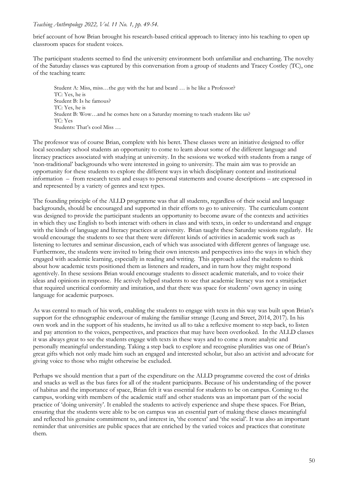#### *Teaching Anthropology 2022, Vol. 11 No. 1, pp. 49-54.*

brief account of how Brian brought his research-based critical approach to literacy into his teaching to open up classroom spaces for student voices.

The participant students seemed to find the university environment both unfamiliar and enchanting. The novelty of the Saturday classes was captured by this conversation from a group of students and Tracey Costley (TC), one of the teaching team:

Student A: Miss, miss…the guy with the hat and beard … is he like a Professor? TC: Yes, he is Student B: Is he famous? TC: Yes, he is Student B: Wow…and he comes here on a Saturday morning to teach students like us? TC: Yes Students: That's cool Miss …

The professor was of course Brian, complete with his beret. These classes were an initiative designed to offer local secondary school students an opportunity to come to learn about some of the different language and literacy practices associated with studying at university. In the sessions we worked with students from a range of 'non-traditional' backgrounds who were interested in going to university. The main aim was to provide an opportunity for these students to explore the different ways in which disciplinary content and institutional information – from research texts and essays to personal statements and course descriptions – are expressed in and represented by a variety of genres and text types.

The founding principle of the ALLD programme was that all students, regardless of their social and language backgrounds, should be encouraged and supported in their efforts to go to university. The curriculum content was designed to provide the participant students an opportunity to become aware of the contexts and activities in which they use English to both interact with others in class and with texts, in order to understand and engage with the kinds of language and literacy practices at university. Brian taught these Saturday sessions regularly. He would encourage the students to see that there were different kinds of activities in academic work such as listening to lectures and seminar discussion, each of which was associated with different genres of language use. Furthermore, the students were invited to bring their own interests and perspectives into the ways in which they engaged with academic learning, especially in reading and writing. This approach asked the students to think about how academic texts positioned them as listeners and readers, and in turn how they might respond agentively. In these sessions Brian would encourage students to dissect academic materials, and to voice their ideas and opinions in response. He actively helped students to see that academic literacy was not a straitjacket that required uncritical conformity and imitation, and that there was space for students' own agency in using language for academic purposes.

As was central to much of his work, enabling the students to engage with texts in this way was built upon Brian's support for the ethnographic endeavour of making the familiar strange (Leung and Street, 2014, 2017). In his own work and in the support of his students, he invited us all to take a reflexive moment to step back, to listen and pay attention to the voices, perspectives, and practices that may have been overlooked. In the ALLD classes it was always great to see the students engage with texts in these ways and to come a more analytic and personally meaningful understanding. Taking a step back to explore and recognise pluralities was one of Brian's great gifts which not only made him such an engaged and interested scholar, but also an activist and advocate for giving voice to those who might otherwise be excluded.

Perhaps we should mention that a part of the expenditure on the ALLD programme covered the cost of drinks and snacks as well as the bus fares for all of the student participants. Because of his understanding of the power of habitus and the importance of space, Brian felt it was essential for students to be on campus. Coming to the campus, working with members of the academic staff and other students was an important part of the social practice of 'doing university'. It enabled the students to actively experience and shape these spaces. For Brian, ensuring that the students were able to be on campus was an essential part of making these classes meaningful and reflected his genuine commitment to, and interest in, 'the context' and 'the social'. It was also an important reminder that universities are public spaces that are enriched by the varied voices and practices that constitute them.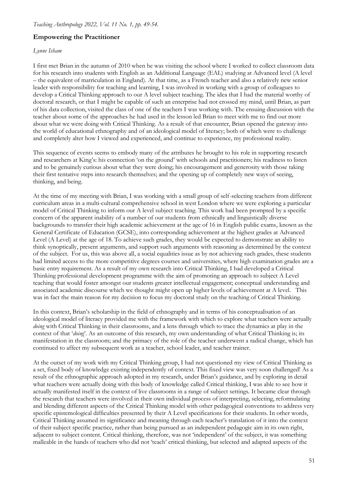#### **Empowering the Practitioner**

#### *Lynne Isham*

I first met Brian in the autumn of 2010 when he was visiting the school where I worked to collect classroom data for his research into students with English as an Additional Language (EAL) studying at Advanced level (A level – the equivalent of matriculation in England). At that time, as a French teacher and also a relatively new senior leader with responsibility for teaching and learning, I was involved in working with a group of colleagues to develop a Critical Thinking approach to our A level subject teaching. The idea that I had the material worthy of doctoral research, or that I might be capable of such an enterprise had not crossed my mind, until Brian, as part of his data collection, visited the class of one of the teachers I was working with. The ensuing discussion with the teacher about some of the approaches he had used in the lesson led Brian to meet with me to find out more about what we were doing with Critical Thinking. As a result of that encounter, Brian opened the gateway into the world of educational ethnography and of an ideological model of literacy; both of which were to challenge and completely alter how I viewed and experienced, and continue to experience, my professional reality.

This sequence of events seems to embody many of the attributes he brought to his role in supporting research and researchers at King's: his connection 'on the ground' with schools and practitioners; his readiness to listen and to be genuinely curious about what they were doing; his encouragement and generosity with those taking their first tentative steps into research themselves; and the opening up of completely new ways of seeing, thinking, and being.

At the time of my meeting with Brian, I was working with a small group of self-selecting teachers from different curriculum areas in a multi-cultural comprehensive school in west London where we were exploring a particular model of Critical Thinking to inform our A level subject teaching. This work had been prompted by a specific concern of the apparent inability of a number of our students from ethnically and linguistically diverse backgrounds to transfer their high academic achievement at the age of 16 in English public exams, known as the General Certificate of Education (GCSE), into corresponding achievement at the highest grades at Advanced Level (A Level) at the age of 18. To achieve such grades, they would be expected to demonstrate an ability to think synoptically, present arguments, and support such arguments with reasoning as determined by the context of the subject. For us, this was above all, a social equalities issue as by not achieving such grades, these students had limited access to the more competitive degrees courses and universities, where high examination grades are a basic entry requirement. As a result of my own research into Critical Thinking, I had developed a Critical Thinking professional development programme with the aim of promoting an approach to subject A Level teaching that would foster amongst our students greater intellectual engagement; conceptual understanding and associated academic discourse which we thought might open up higher levels of achievement at A level. This was in fact the main reason for my decision to focus my doctoral study on the teaching of Critical Thinking.

In this context, Brian's scholarship in the field of ethnography and in terms of his conceptualisation of an ideological model of literacy provided me with the framework with which to explore what teachers were actually *doing* with Critical Thinking in their classrooms, and a lens through which to trace the dynamics at play in the context of that '*doing*'. As an outcome of this research, my own understanding of what Critical Thinking is; its manifestation in the classroom; and the primacy of the role of the teacher underwent a radical change, which has continued to affect my subsequent work as a teacher, school leader, and teacher trainer.

At the outset of my work with my Critical Thinking group, I had not questioned my view of Critical Thinking as a set, fixed body of knowledge existing independently of context. This fixed view was very soon challenged! As a result of the ethnographic approach adopted in my research, under Brian's guidance, and by exploring in detail what teachers were actually doing with this body of knowledge called Critical thinking, I was able to see how it actually manifested itself in the context of live classrooms in a range of subject settings. It became clear through the research that teachers were involved in their own individual process of interpreting, selecting, reformulating and blending different aspects of the Critical Thinking model with other pedagogical conventions to address very specific epistemological difficulties presented by their A Level specifications for their students. In other words, Critical Thinking assumed its significance and meaning through each teacher's translation of it into the context of their subject specific practice, rather than being pursued as an independent pedagogic aim in its own right, adjacent to subject content. Critical thinking, therefore, was not 'independent' of the subject, it was something malleable in the hands of teachers who did not 'teach' critical thinking, but selected and adapted aspects of the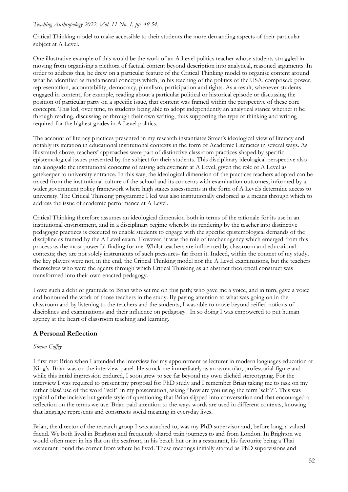Critical Thinking model to make accessible to their students the more demanding aspects of their particular subject at A Level.

One illustrative example of this would be the work of an A Level politics teacher whose students struggled in moving from organising a plethora of factual content beyond description into analytical, reasoned arguments. In order to address this, he drew on a particular feature of the Critical Thinking model to organise content around what he identified as fundamental concepts which, in his teaching of the politics of the USA, comprised: power, representation, accountability, democracy, pluralism, participation and rights. As a result, whenever students engaged in content, for example, reading about a particular political or historical episode or discussing the position of particular party on a specific issue, that content was framed within the perspective of these core concepts. This led, over time, to students being able to adopt independently an analytical stance whether it be through reading, discussing or through their own writing, thus supporting the type of thinking and writing required for the highest grades in A Level politics.

The account of literacy practices presented in my research instantiates Street's ideological view of literacy and notably its iteration in educational institutional contexts in the form of Academic Literacies in several ways. As illustrated above, teachers' approaches were part of distinctive classroom practices shaped by specific epistemological issues presented by the subject for their students. This disciplinary ideological perspective also ran alongside the institutional concerns of raising achievement at A Level, given the role of A Level as gatekeeper to university entrance. In this way, the ideological dimension of the practices teachers adopted can be traced from the institutional culture of the school and its concerns with examination outcomes, informed by a wider government policy framework where high stakes assessments in the form of A Levels determine access to university. The Critical Thinking programme I led was also institutionally endorsed as a means through which to address the issue of academic performance at A Level.

Critical Thinking therefore assumes an ideological dimension both in terms of the rationale for its use in an institutional environment, and in a disciplinary regime whereby its rendering by the teacher into distinctive pedagogic practices is executed to enable students to engage with the specific epistemological demands of the discipline as framed by the A Level exam. However, it was the role of teacher agency which emerged from this process as the most powerful finding for me. Whilst teachers are influenced by classroom and educational contexts; they are not solely instruments of such pressures- far from it. Indeed, within the context of my study, the key players were not, in the end, the Critical Thinking model nor the A Level examinations, but the teachers themselves who were the agents through which Critical Thinking as an abstract theoretical construct was transformed into their own enacted pedagogy.

I owe such a debt of gratitude to Brian who set me on this path; who gave me a voice, and in turn, gave a voice and honoured the work of those teachers in the study. By paying attention to what was going on in the classroom and by listening to the teachers and the students, I was able to move beyond reified notions of disciplines and examinations and their influence on pedagogy. In so doing I was empowered to put human agency at the heart of classroom teaching and learning.

## **A Personal Reflection**

## *Simon Coffey*

I first met Brian when I attended the interview for my appointment as lecturer in modern languages education at King's. Brian was on the interview panel. He struck me immediately as an avuncular, professorial figure and while this initial impression endured, I soon grew to see far beyond my own clichéd stereotyping. For the interview I was required to present my proposal for PhD study and I remember Brian taking me to task on my rather blasé use of the word "self" in my presentation, asking "how are you using the term 'self?". This was typical of the incisive but gentle style of questioning that Brian slipped into conversation and that encouraged a reflection on the terms we use. Brian paid attention to the ways words are used in different contexts, knowing that language represents and constructs social meaning in everyday lives.

Brian, the director of the research group I was attached to, was my PhD supervisor and, before long, a valued friend. We both lived in Brighton and frequently shared train journeys to and from London. In Brighton we would often meet in his flat on the seafront, in his beach hut or in a restaurant, his favourite being a Thai restaurant round the corner from where he lived. These meetings initially started as PhD supervisions and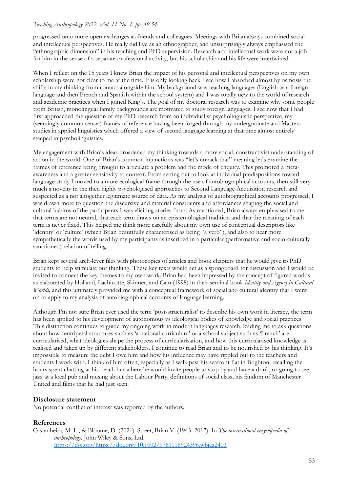#### *Teaching Anthropology 2022, Vol. 11 No. 1, pp. 49-54.*

progressed onto more open exchanges as friends and colleagues. Meetings with Brian always combined social and intellectual perspectives. He really did live as an ethnographer, and unsurprisingly always emphasised the "ethnographic dimension" in his teaching and PhD supervision. Research and intellectual work were not a job for him in the sense of a separate professional activity, but his scholarship and his life were intertwined.

When I reflect on the 15 years I knew Brian the impact of his personal and intellectual perspectives on my own scholarship were not clear to me at the time. It is only looking back I see how I absorbed almost by osmosis the shifts in my thinking from contact alongside him. My background was teaching languages (English as a foreign language and then French and Spanish within the school system) and I was totally new to the world of research and academic practices when I joined King's. The goal of my doctoral research was to examine why some people from British, monolingual family backgrounds are motivated to study foreign languages. I see now that I had first approached the question of my PhD research from an individualist psycholinguistic perspective, my (seemingly common sense!) frames of reference having been forged through my undergraduate and Masters studies in applied linguistics which offered a view of second language learning at that time almost entirely steeped in psycholinguistics.

My engagement with Brian's ideas broadened my thinking towards a more social, constructivist understanding of action in the world. One of Brian's common injunctions was "let's unpack that" meaning let's examine the frames of reference being brought to articulate a problem and the mode of enquiry. This promoted a metaawareness and a greater sensitivity to context. From setting out to look at individual predispositions toward language study I moved to a more ecological frame through the use of autobiographical accounts, then still very much a novelty in the then highly psychologised approaches to Second Language Acquisition research and suspected as a not altogether legitimate source of data. As my analysis of autobiographical accounts progressed, I was drawn more to question the discursive and material constraints and affordances shaping the social and cultural habitus of the participants I was eliciting stories from. As mentioned, Brian always emphasised to me that terms are not neutral, that each term draws on an epistemological tradition and that the meaning of each term is never fixed. This helped me think more carefully about my own use of conceptual descriptors like 'identity' or 'culture' (which Brian beautifully characterised as being "a verb"), and also to hear more sympathetically the words used by my participants as inscribed in a particular (performative and socio-culturally sanctioned) relation of telling.

Brian kept several arch-lever files with photocopies of articles and book chapters that he would give to PhD students to help stimulate our thinking. These key texts would act as a springboard for discussion and I would be invited to connect the key themes to my own work. Brian had been impressed by the concept of figured worlds as elaborated by Holland, Lachicotte, Skinner, and Cain (1998) in their seminal book *Identity and Agency in Cultural Worlds,* and this ultimately provided me with a conceptual framework of social and cultural identity that I went on to apply to my analysis of autobiographical accounts of language learning.

Although I'm not sure Brian ever used the term 'post-structuralist' to describe his own work in literacy, the term has been applied to his development of autonomous vs ideological bodies of knowledge and social practices. This distinction continues to guide my ongoing work in modern languages research, leading me to ask questions about how centripetal structures such as 'a national curriculum' or a school subject such as 'French' are curricularised, what ideologies shape the process of curricularisation, and how this curricularised knowledge is realised and taken up by different stakeholders. I continue to read Brian and to be nourished by his thinking. It's impossible to measure the debt I owe him and how his influence may have rippled out to the teachers and students I work with. I think of him often, especially as I walk past his seafront flat in Brighton, recalling the hours spent chatting at his beach hut where he would invite people to stop by and have a drink, or going to see jazz at a local pub and musing about the Labour Party, definitions of social class, his fandom of Manchester United and films that he had just seen.

## **Disclosure statement**

No potential conflict of interest was reported by the authors.

#### **References**

Castanheira, M. L., & Bloome, D. (2021). Street, Brian V. (1943–2017). In *The international encyclopedia of anthropology*. John Wiley & Sons, Ltd. [https://doi.org/https://doi.org/10.1002/9781118924396.wbiea2403](https://doi.org/https:/doi.org/10.1002/9781118924396.wbiea2403)